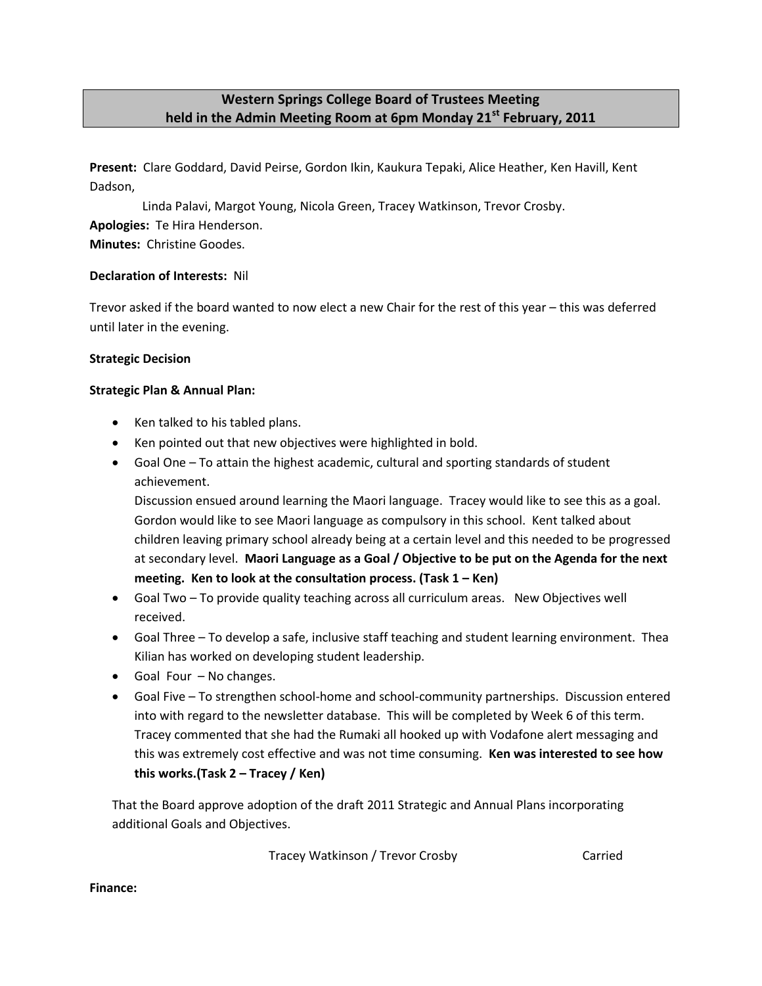# **Western Springs College Board of Trustees Meeting held in the Admin Meeting Room at 6pm Monday 21st February, 2011**

**Present:** Clare Goddard, David Peirse, Gordon Ikin, Kaukura Tepaki, Alice Heather, Ken Havill, Kent Dadson,

Linda Palavi, Margot Young, Nicola Green, Tracey Watkinson, Trevor Crosby.

**Apologies:** Te Hira Henderson.

**Minutes:** Christine Goodes.

## **Declaration of Interests:** Nil

Trevor asked if the board wanted to now elect a new Chair for the rest of this year – this was deferred until later in the evening.

## **Strategic Decision**

## **Strategic Plan & Annual Plan:**

- Ken talked to his tabled plans.
- Ken pointed out that new objectives were highlighted in bold.
- Goal One To attain the highest academic, cultural and sporting standards of student achievement.

Discussion ensued around learning the Maori language. Tracey would like to see this as a goal. Gordon would like to see Maori language as compulsory in this school. Kent talked about children leaving primary school already being at a certain level and this needed to be progressed at secondary level. **Maori Language as a Goal / Objective to be put on the Agenda for the next meeting. Ken to look at the consultation process. (Task 1 – Ken)**

- Goal Two To provide quality teaching across all curriculum areas. New Objectives well received.
- Goal Three To develop a safe, inclusive staff teaching and student learning environment. Thea Kilian has worked on developing student leadership.
- Goal Four No changes.
- Goal Five To strengthen school-home and school-community partnerships. Discussion entered into with regard to the newsletter database. This will be completed by Week 6 of this term. Tracey commented that she had the Rumaki all hooked up with Vodafone alert messaging and this was extremely cost effective and was not time consuming. **Ken was interested to see how this works.(Task 2 – Tracey / Ken)**

That the Board approve adoption of the draft 2011 Strategic and Annual Plans incorporating additional Goals and Objectives.

Tracey Watkinson / Trevor Crosby Carried

**Finance:**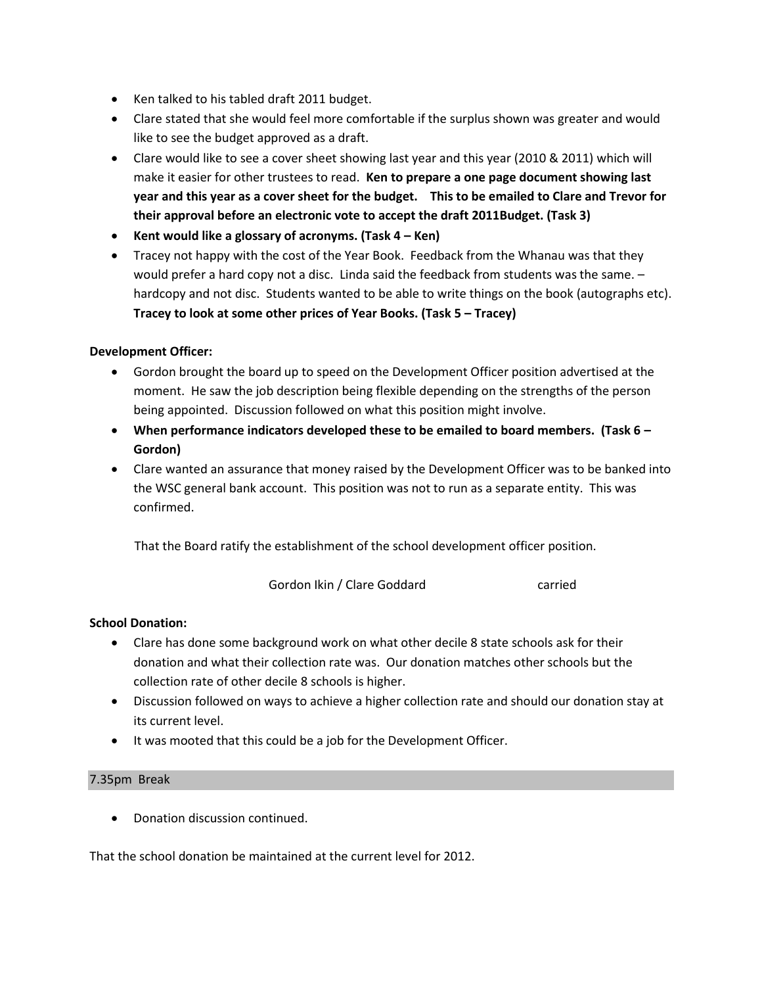- Ken talked to his tabled draft 2011 budget.
- Clare stated that she would feel more comfortable if the surplus shown was greater and would like to see the budget approved as a draft.
- Clare would like to see a cover sheet showing last year and this year (2010 & 2011) which will make it easier for other trustees to read. **Ken to prepare a one page document showing last year and this year as a cover sheet for the budget. This to be emailed to Clare and Trevor for their approval before an electronic vote to accept the draft 2011Budget. (Task 3)**
- **Kent would like a glossary of acronyms. (Task 4 – Ken)**
- Tracey not happy with the cost of the Year Book. Feedback from the Whanau was that they would prefer a hard copy not a disc. Linda said the feedback from students was the same. – hardcopy and not disc. Students wanted to be able to write things on the book (autographs etc). **Tracey to look at some other prices of Year Books. (Task 5 – Tracey)**

#### **Development Officer:**

- Gordon brought the board up to speed on the Development Officer position advertised at the moment. He saw the job description being flexible depending on the strengths of the person being appointed. Discussion followed on what this position might involve.
- **When performance indicators developed these to be emailed to board members. (Task 6 – Gordon)**
- Clare wanted an assurance that money raised by the Development Officer was to be banked into the WSC general bank account. This position was not to run as a separate entity. This was confirmed.

That the Board ratify the establishment of the school development officer position.

Gordon Ikin / Clare Goddard carried

### **School Donation:**

- Clare has done some background work on what other decile 8 state schools ask for their donation and what their collection rate was. Our donation matches other schools but the collection rate of other decile 8 schools is higher.
- Discussion followed on ways to achieve a higher collection rate and should our donation stay at its current level.
- It was mooted that this could be a job for the Development Officer.

#### 7.35pm Break

Donation discussion continued.

That the school donation be maintained at the current level for 2012.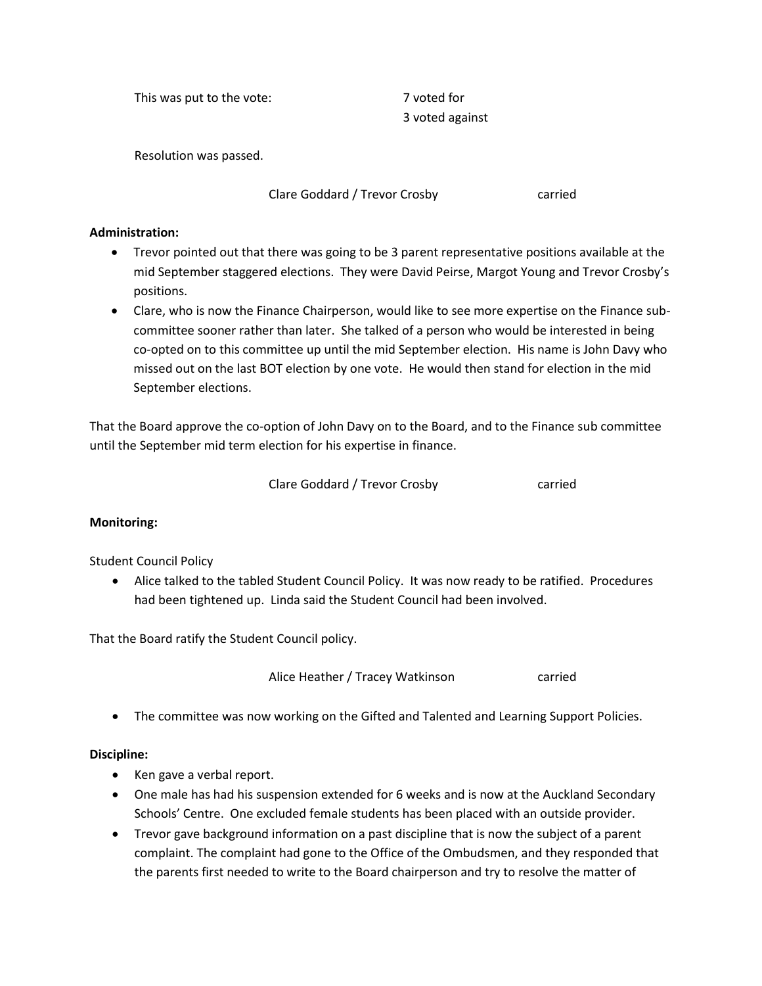This was put to the vote: This was put to the vote:

3 voted against

Resolution was passed.

Clare Goddard / Trevor Crosby carried

## **Administration:**

- Trevor pointed out that there was going to be 3 parent representative positions available at the mid September staggered elections. They were David Peirse, Margot Young and Trevor Crosby's positions.
- Clare, who is now the Finance Chairperson, would like to see more expertise on the Finance subcommittee sooner rather than later. She talked of a person who would be interested in being co-opted on to this committee up until the mid September election. His name is John Davy who missed out on the last BOT election by one vote. He would then stand for election in the mid September elections.

That the Board approve the co-option of John Davy on to the Board, and to the Finance sub committee until the September mid term election for his expertise in finance.

|  | Clare Goddard / Trevor Crosby | carried |
|--|-------------------------------|---------|
|--|-------------------------------|---------|

# **Monitoring:**

# Student Council Policy

 Alice talked to the tabled Student Council Policy. It was now ready to be ratified. Procedures had been tightened up. Linda said the Student Council had been involved.

That the Board ratify the Student Council policy.

Alice Heather / Tracey Watkinson carried

The committee was now working on the Gifted and Talented and Learning Support Policies.

# **Discipline:**

- Ken gave a verbal report.
- One male has had his suspension extended for 6 weeks and is now at the Auckland Secondary Schools' Centre. One excluded female students has been placed with an outside provider.
- Trevor gave background information on a past discipline that is now the subject of a parent complaint. The complaint had gone to the Office of the Ombudsmen, and they responded that the parents first needed to write to the Board chairperson and try to resolve the matter of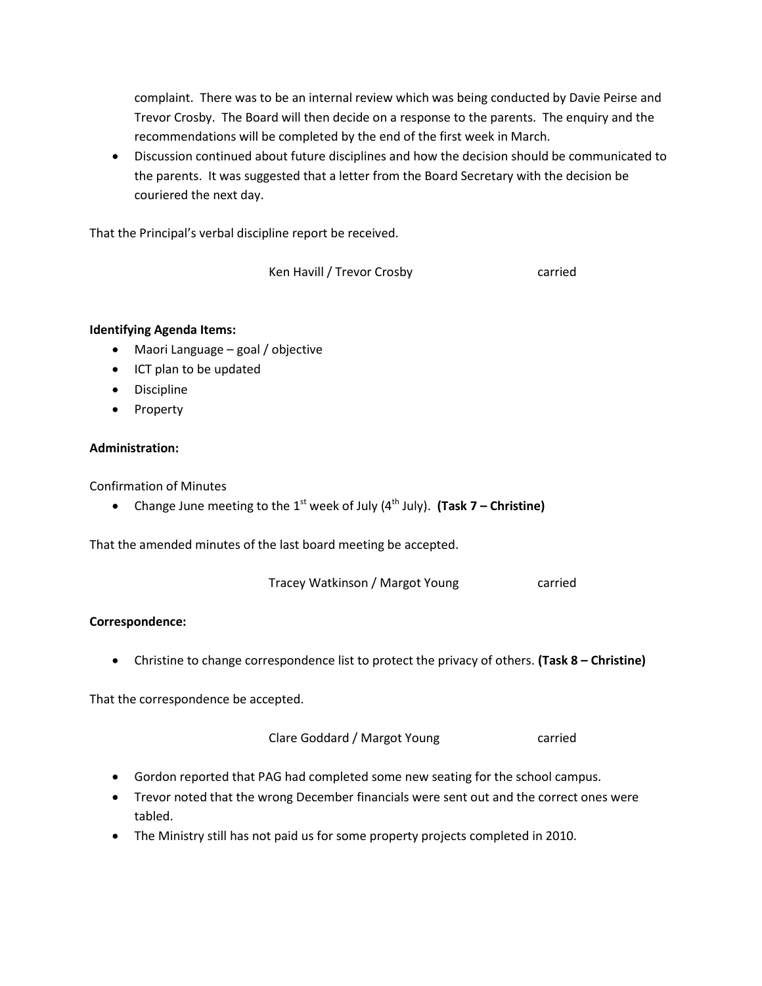complaint. There was to be an internal review which was being conducted by Davie Peirse and Trevor Crosby. The Board will then decide on a response to the parents. The enquiry and the recommendations will be completed by the end of the first week in March.

 Discussion continued about future disciplines and how the decision should be communicated to the parents. It was suggested that a letter from the Board Secretary with the decision be couriered the next day.

That the Principal's verbal discipline report be received.

Ken Havill / Trevor Crosby carried

### **Identifying Agenda Items:**

- Maori Language goal / objective
- ICT plan to be updated
- **•** Discipline
- Property

### **Administration:**

Confirmation of Minutes

• Change June meeting to the 1<sup>st</sup> week of July (4<sup>th</sup> July). (Task 7 – Christine)

That the amended minutes of the last board meeting be accepted.

Tracey Watkinson / Margot Young carried

### **Correspondence:**

Christine to change correspondence list to protect the privacy of others. **(Task 8 – Christine)**

That the correspondence be accepted.

Clare Goddard / Margot Young carried

- Gordon reported that PAG had completed some new seating for the school campus.
- Trevor noted that the wrong December financials were sent out and the correct ones were tabled.
- The Ministry still has not paid us for some property projects completed in 2010.